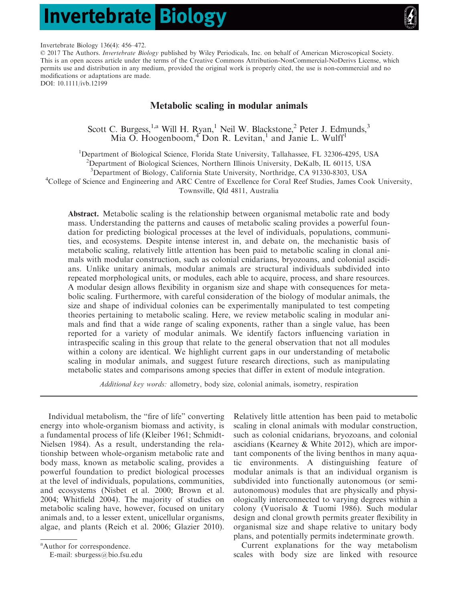# **Invertebrate Biology**



#### Invertebrate Biology 136(4): 456–472.

© 2017 The Authors. Invertebrate Biology published [by](http://creativecommons.org/licenses/by-nc-nd/4.0/) [Wiley](http://creativecommons.org/licenses/by-nc-nd/4.0/) [Periodicals,](http://creativecommons.org/licenses/by-nc-nd/4.0/) [Inc.](http://creativecommons.org/licenses/by-nc-nd/4.0/) [on](http://creativecommons.org/licenses/by-nc-nd/4.0/) [behalf](http://creativecommons.org/licenses/by-nc-nd/4.0/) [of](http://creativecommons.org/licenses/by-nc-nd/4.0/) [American](http://creativecommons.org/licenses/by-nc-nd/4.0/) [Microsco](http://creativecommons.org/licenses/by-nc-nd/4.0/)pical Society. This is an open access article under the terms of the Creative Commons Attribution-NonCommercial-NoDerivs License, which permits use and distribution in any medium, provided the original work is properly cited, the use is non-commercial and no modifications or adaptations are made. DOI: 10.1111/ivb.12199

## Metabolic scaling in modular animals

Scott C. Burgess,<sup>1,a</sup> Will H. Ryan,<sup>1</sup> Neil W. Blackstone,<sup>2</sup> Peter J. Edmunds,<sup>3</sup> Mia O. Hoogenboom, $4^{\circ}$  Don R. Levitan,<sup>1</sup> and Janie L. Wulff<sup>1</sup>

<sup>1</sup>Department of Biological Science, Florida State University, Tallahassee, FL 32306-4295, USA

<sup>2</sup>Department of Biological Sciences, Northern Illinois University, DeKalb, IL 60115, USA

3 Department of Biology, California State University, Northridge, CA 91330-8303, USA

<sup>4</sup>College of Science and Engineering and ARC Centre of Excellence for Coral Reef Studies, James Cook University,

Townsville, Qld 4811, Australia

Abstract. Metabolic scaling is the relationship between organismal metabolic rate and body mass. Understanding the patterns and causes of metabolic scaling provides a powerful foundation for predicting biological processes at the level of individuals, populations, communities, and ecosystems. Despite intense interest in, and debate on, the mechanistic basis of metabolic scaling, relatively little attention has been paid to metabolic scaling in clonal animals with modular construction, such as colonial cnidarians, bryozoans, and colonial ascidians. Unlike unitary animals, modular animals are structural individuals subdivided into repeated morphological units, or modules, each able to acquire, process, and share resources. A modular design allows flexibility in organism size and shape with consequences for metabolic scaling. Furthermore, with careful consideration of the biology of modular animals, the size and shape of individual colonies can be experimentally manipulated to test competing theories pertaining to metabolic scaling. Here, we review metabolic scaling in modular animals and find that a wide range of scaling exponents, rather than a single value, has been reported for a variety of modular animals. We identify factors influencing variation in intraspecific scaling in this group that relate to the general observation that not all modules within a colony are identical. We highlight current gaps in our understanding of metabolic scaling in modular animals, and suggest future research directions, such as manipulating metabolic states and comparisons among species that differ in extent of module integration.

Additional key words: allometry, body size, colonial animals, isometry, respiration

Individual metabolism, the "fire of life" converting energy into whole-organism biomass and activity, is a fundamental process of life (Kleiber 1961; Schmidt-Nielsen 1984). As a result, understanding the relationship between whole-organism metabolic rate and body mass, known as metabolic scaling, provides a powerful foundation to predict biological processes at the level of individuals, populations, communities, and ecosystems (Nisbet et al. 2000; Brown et al. 2004; Whitfield 2004). The majority of studies on metabolic scaling have, however, focused on unitary animals and, to a lesser extent, unicellular organisms, algae, and plants (Reich et al. 2006; Glazier 2010).

E-mail: sburgess@bio.fsu.edu

Relatively little attention has been paid to metabolic scaling in clonal animals with modular construction, such as colonial cnidarians, bryozoans, and colonial ascidians (Kearney & White 2012), which are important components of the living benthos in many aquatic environments. A distinguishing feature of modular animals is that an individual organism is subdivided into functionally autonomous (or semiautonomous) modules that are physically and physiologically interconnected to varying degrees within a colony (Vuorisalo & Tuomi 1986). Such modular design and clonal growth permits greater flexibility in organismal size and shape relative to unitary body plans, and potentially permits indeterminate growth.

Current explanations for the way metabolism scales with body size are linked with resource

<sup>&</sup>lt;sup>a</sup>Author for correspondence.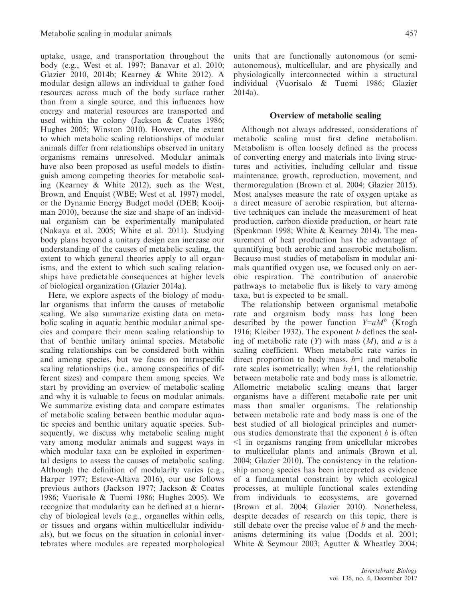uptake, usage, and transportation throughout the body (e.g., West et al. 1997; Banavar et al. 2010; Glazier 2010, 2014b; Kearney & White 2012). A modular design allows an individual to gather food resources across much of the body surface rather than from a single source, and this influences how energy and material resources are transported and used within the colony (Jackson & Coates 1986; Hughes 2005; Winston 2010). However, the extent to which metabolic scaling relationships of modular animals differ from relationships observed in unitary organisms remains unresolved. Modular animals have also been proposed as useful models to distinguish among competing theories for metabolic scaling (Kearney & White 2012), such as the West, Brown, and Enquist (WBE; West et al. 1997) model, or the Dynamic Energy Budget model (DEB; Kooijman 2010), because the size and shape of an individual organism can be experimentally manipulated (Nakaya et al. 2005; White et al. 2011). Studying body plans beyond a unitary design can increase our understanding of the causes of metabolic scaling, the extent to which general theories apply to all organisms, and the extent to which such scaling relationships have predictable consequences at higher levels of biological organization (Glazier 2014a).

Here, we explore aspects of the biology of modular organisms that inform the causes of metabolic scaling. We also summarize existing data on metabolic scaling in aquatic benthic modular animal species and compare their mean scaling relationship to that of benthic unitary animal species. Metabolic scaling relationships can be considered both within and among species, but we focus on intraspecific scaling relationships (i.e., among conspecifics of different sizes) and compare them among species. We start by providing an overview of metabolic scaling and why it is valuable to focus on modular animals. We summarize existing data and compare estimates of metabolic scaling between benthic modular aquatic species and benthic unitary aquatic species. Subsequently, we discuss why metabolic scaling might vary among modular animals and suggest ways in which modular taxa can be exploited in experimental designs to assess the causes of metabolic scaling. Although the definition of modularity varies (e.g., Harper 1977; Esteve-Altava 2016), our use follows previous authors (Jackson 1977; Jackson & Coates 1986; Vuorisalo & Tuomi 1986; Hughes 2005). We recognize that modularity can be defined at a hierarchy of biological levels (e.g., organelles within cells, or tissues and organs within multicellular individuals), but we focus on the situation in colonial invertebrates where modules are repeated morphological

units that are functionally autonomous (or semiautonomous), multicellular, and are physically and physiologically interconnected within a structural individual (Vuorisalo & Tuomi 1986; Glazier 2014a).

## Overview of metabolic scaling

Although not always addressed, considerations of metabolic scaling must first define metabolism. Metabolism is often loosely defined as the process of converting energy and materials into living structures and activities, including cellular and tissue maintenance, growth, reproduction, movement, and thermoregulation (Brown et al. 2004; Glazier 2015). Most analyses measure the rate of oxygen uptake as a direct measure of aerobic respiration, but alternative techniques can include the measurement of heat production, carbon dioxide production, or heart rate (Speakman 1998; White & Kearney 2014). The measurement of heat production has the advantage of quantifying both aerobic and anaerobic metabolism. Because most studies of metabolism in modular animals quantified oxygen use, we focused only on aerobic respiration. The contribution of anaerobic pathways to metabolic flux is likely to vary among taxa, but is expected to be small.

The relationship between organismal metabolic rate and organism body mass has long been described by the power function  $Y=aM^b$  (Krogh 1916; Kleiber 1932). The exponent  $b$  defines the scaling of metabolic rate  $(Y)$  with mass  $(M)$ , and a is a scaling coefficient. When metabolic rate varies in direct proportion to body mass,  $b=1$  and metabolic rate scales isometrically; when  $b\neq 1$ , the relationship between metabolic rate and body mass is allometric. Allometric metabolic scaling means that larger organisms have a different metabolic rate per unit mass than smaller organisms. The relationship between metabolic rate and body mass is one of the best studied of all biological principles and numerous studies demonstrate that the exponent  $b$  is often <1 in organisms ranging from unicellular microbes to multicellular plants and animals (Brown et al. 2004; Glazier 2010). The consistency in the relationship among species has been interpreted as evidence of a fundamental constraint by which ecological processes, at multiple functional scales extending from individuals to ecosystems, are governed (Brown et al. 2004; Glazier 2010). Nonetheless, despite decades of research on this topic, there is still debate over the precise value of b and the mechanisms determining its value (Dodds et al. 2001; White & Seymour 2003; Agutter & Wheatley 2004;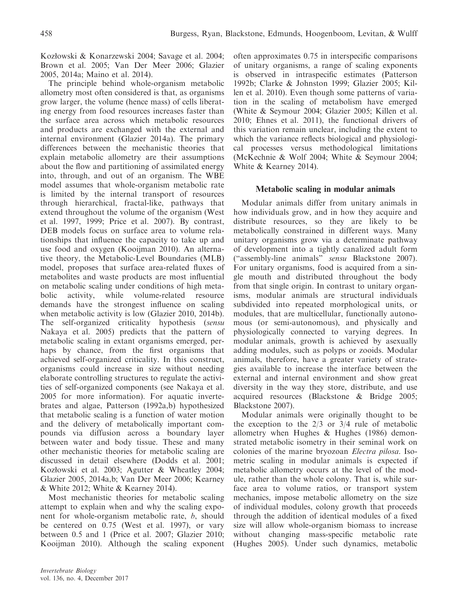Kozłowski & Konarzewski 2004; Savage et al. 2004; Brown et al. 2005; Van Der Meer 2006; Glazier 2005, 2014a; Maino et al. 2014).

The principle behind whole-organism metabolic allometry most often considered is that, as organisms grow larger, the volume (hence mass) of cells liberating energy from food resources increases faster than the surface area across which metabolic resources and products are exchanged with the external and internal environment (Glazier 2014a). The primary differences between the mechanistic theories that explain metabolic allometry are their assumptions about the flow and partitioning of assimilated energy into, through, and out of an organism. The WBE model assumes that whole-organism metabolic rate is limited by the internal transport of resources through hierarchical, fractal-like, pathways that extend throughout the volume of the organism (West et al. 1997, 1999; Price et al. 2007). By contrast, DEB models focus on surface area to volume relationships that influence the capacity to take up and use food and oxygen (Kooijman 2010). An alternative theory, the Metabolic-Level Boundaries (MLB) model, proposes that surface area-related fluxes of metabolites and waste products are most influential on metabolic scaling under conditions of high metabolic activity, while volume-related resource demands have the strongest influence on scaling when metabolic activity is low (Glazier 2010, 2014b). The self-organized criticality hypothesis (sensu Nakaya et al. 2005) predicts that the pattern of metabolic scaling in extant organisms emerged, perhaps by chance, from the first organisms that achieved self-organized criticality. In this construct, organisms could increase in size without needing elaborate controlling structures to regulate the activities of self-organized components (see Nakaya et al. 2005 for more information). For aquatic invertebrates and algae, Patterson (1992a,b) hypothesized that metabolic scaling is a function of water motion and the delivery of metabolically important compounds via diffusion across a boundary layer between water and body tissue. These and many other mechanistic theories for metabolic scaling are discussed in detail elsewhere (Dodds et al. 2001; Kozłowski et al. 2003; Agutter & Wheatley 2004; Glazier 2005, 2014a,b; Van Der Meer 2006; Kearney & White 2012; White & Kearney 2014).

Most mechanistic theories for metabolic scaling attempt to explain when and why the scaling exponent for whole-organism metabolic rate, b, should be centered on 0.75 (West et al. 1997), or vary between 0.5 and 1 (Price et al. 2007; Glazier 2010; Kooijman 2010). Although the scaling exponent

often approximates 0.75 in interspecific comparisons of unitary organisms, a range of scaling exponents is observed in intraspecific estimates (Patterson 1992b; Clarke & Johnston 1999; Glazier 2005; Killen et al. 2010). Even though some patterns of variation in the scaling of metabolism have emerged (White & Seymour 2004; Glazier 2005; Killen et al. 2010; Ehnes et al. 2011), the functional drivers of this variation remain unclear, including the extent to which the variance reflects biological and physiological processes versus methodological limitations (McKechnie & Wolf 2004; White & Seymour 2004; White & Kearney 2014).

# Metabolic scaling in modular animals

Modular animals differ from unitary animals in how individuals grow, and in how they acquire and distribute resources, so they are likely to be metabolically constrained in different ways. Many unitary organisms grow via a determinate pathway of development into a tightly canalized adult form ("assembly-line animals" sensu Blackstone 2007). For unitary organisms, food is acquired from a single mouth and distributed throughout the body from that single origin. In contrast to unitary organisms, modular animals are structural individuals subdivided into repeated morphological units, or modules, that are multicellular, functionally autonomous (or semi-autonomous), and physically and physiologically connected to varying degrees. In modular animals, growth is achieved by asexually adding modules, such as polyps or zooids. Modular animals, therefore, have a greater variety of strategies available to increase the interface between the external and internal environment and show great diversity in the way they store, distribute, and use acquired resources (Blackstone & Bridge 2005; Blackstone 2007).

Modular animals were originally thought to be the exception to the  $2/3$  or  $3/4$  rule of metabolic allometry when Hughes & Hughes (1986) demonstrated metabolic isometry in their seminal work on colonies of the marine bryozoan Electra pilosa. Isometric scaling in modular animals is expected if metabolic allometry occurs at the level of the module, rather than the whole colony. That is, while surface area to volume ratios, or transport system mechanics, impose metabolic allometry on the size of individual modules, colony growth that proceeds through the addition of identical modules of a fixed size will allow whole-organism biomass to increase without changing mass-specific metabolic rate (Hughes 2005). Under such dynamics, metabolic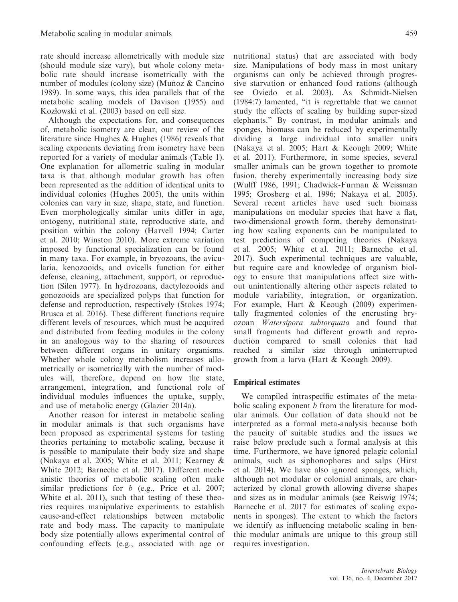rate should increase allometrically with module size (should module size vary), but whole colony metabolic rate should increase isometrically with the number of modules (colony size) (Muñoz  $&$  Cancino 1989). In some ways, this idea parallels that of the metabolic scaling models of Davison (1955) and Kozłowski et al. (2003) based on cell size.

Although the expectations for, and consequences of, metabolic isometry are clear, our review of the literature since Hughes & Hughes (1986) reveals that scaling exponents deviating from isometry have been reported for a variety of modular animals (Table 1). One explanation for allometric scaling in modular taxa is that although modular growth has often been represented as the addition of identical units to individual colonies (Hughes 2005), the units within colonies can vary in size, shape, state, and function. Even morphologically similar units differ in age, ontogeny, nutritional state, reproductive state, and position within the colony (Harvell 1994; Carter et al. 2010; Winston 2010). More extreme variation imposed by functional specialization can be found in many taxa. For example, in bryozoans, the avicularia, kenozooids, and ovicells function for either defense, cleaning, attachment, support, or reproduction (Silen 1977). In hydrozoans, dactylozooids and gonozooids are specialized polyps that function for defense and reproduction, respectively (Stokes 1974; Brusca et al. 2016). These different functions require different levels of resources, which must be acquired and distributed from feeding modules in the colony in an analogous way to the sharing of resources between different organs in unitary organisms. Whether whole colony metabolism increases allometrically or isometrically with the number of modules will, therefore, depend on how the state, arrangement, integration, and functional role of individual modules influences the uptake, supply, and use of metabolic energy (Glazier 2014a).

Another reason for interest in metabolic scaling in modular animals is that such organisms have been proposed as experimental systems for testing theories pertaining to metabolic scaling, because it is possible to manipulate their body size and shape (Nakaya et al. 2005; White et al. 2011; Kearney & White 2012; Barneche et al. 2017). Different mechanistic theories of metabolic scaling often make similar predictions for  $b$  (e.g., Price et al. 2007; White et al. 2011), such that testing of these theories requires manipulative experiments to establish cause-and-effect relationships between metabolic rate and body mass. The capacity to manipulate body size potentially allows experimental control of confounding effects (e.g., associated with age or

nutritional status) that are associated with body size. Manipulations of body mass in most unitary organisms can only be achieved through progressive starvation or enhanced food rations (although see Oviedo et al. 2003). As Schmidt-Nielsen (1984:7) lamented, "it is regrettable that we cannot study the effects of scaling by building super-sized elephants." By contrast, in modular animals and sponges, biomass can be reduced by experimentally dividing a large individual into smaller units (Nakaya et al. 2005; Hart & Keough 2009; White et al. 2011). Furthermore, in some species, several smaller animals can be grown together to promote fusion, thereby experimentally increasing body size (Wulff 1986, 1991; Chadwick-Furman & Weissman 1995; Grosberg et al. 1996; Nakaya et al. 2005). Several recent articles have used such biomass manipulations on modular species that have a flat, two-dimensional growth form, thereby demonstrating how scaling exponents can be manipulated to test predictions of competing theories (Nakaya et al. 2005; White et al. 2011; Barneche et al. 2017). Such experimental techniques are valuable, but require care and knowledge of organism biology to ensure that manipulations affect size without unintentionally altering other aspects related to module variability, integration, or organization. For example, Hart & Keough (2009) experimentally fragmented colonies of the encrusting bryozoan Watersipora subtorquata and found that small fragments had different growth and reproduction compared to small colonies that had reached a similar size through uninterrupted

#### Empirical estimates

We compiled intraspecific estimates of the metabolic scaling exponent  $b$  from the literature for modular animals. Our collation of data should not be interpreted as a formal meta-analysis because both the paucity of suitable studies and the issues we raise below preclude such a formal analysis at this time. Furthermore, we have ignored pelagic colonial animals, such as siphonophores and salps (Hirst et al. 2014). We have also ignored sponges, which, although not modular or colonial animals, are characterized by clonal growth allowing diverse shapes and sizes as in modular animals (see Reiswig 1974; Barneche et al. 2017 for estimates of scaling exponents in sponges). The extent to which the factors we identify as influencing metabolic scaling in benthic modular animals are unique to this group still requires investigation.

growth from a larva (Hart & Keough 2009).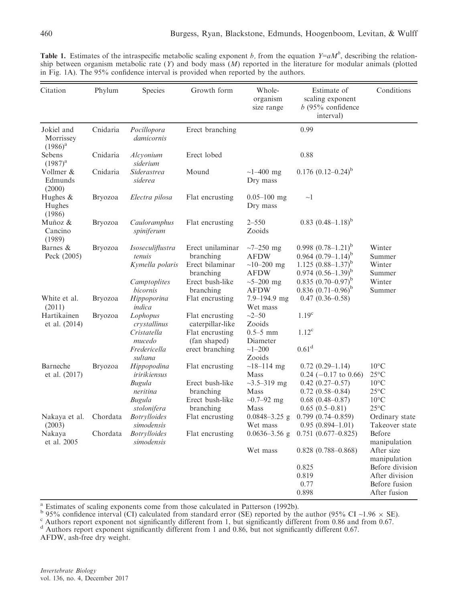| Citation                                | Phylum         | Species                                                                           | Growth form                                                                               | Whole-<br>organism<br>size range                                                  | Estimate of<br>scaling exponent<br>$b$ (95% confidence<br>interval)                                                                   | Conditions                                                                                                             |
|-----------------------------------------|----------------|-----------------------------------------------------------------------------------|-------------------------------------------------------------------------------------------|-----------------------------------------------------------------------------------|---------------------------------------------------------------------------------------------------------------------------------------|------------------------------------------------------------------------------------------------------------------------|
| Jokiel and<br>Morrissey<br>$(1986)^{a}$ | Cnidaria       | Pocillopora<br>damicornis                                                         | Erect branching                                                                           |                                                                                   | 0.99                                                                                                                                  |                                                                                                                        |
| Sebens<br>$(1987)^{a}$                  | Cnidaria       | Alcyonium<br>siderium                                                             | Erect lobed                                                                               |                                                                                   | 0.88                                                                                                                                  |                                                                                                                        |
| Vollmer &<br>Edmunds<br>(2000)          | Cnidaria       | Siderastrea<br>siderea                                                            | Mound                                                                                     | $\sim$ 1–400 mg<br>Dry mass                                                       | $0.176$ $(0.12-0.24)^{b}$                                                                                                             |                                                                                                                        |
| Hughes &<br>Hughes<br>(1986)            | Bryozoa        | Electra pilosa                                                                    | Flat encrusting                                                                           | $0.05 - 100$ mg<br>Dry mass                                                       | $\sim$ 1                                                                                                                              |                                                                                                                        |
| Muñoz &<br>Cancino<br>(1989)            | Bryozoa        | Cauloramphus<br>spiniferum                                                        | Flat encrusting                                                                           | $2 - 550$<br>Zooids                                                               | $0.83$ $(0.48-1.18)^{b}$                                                                                                              |                                                                                                                        |
| Barnes &<br>Peck (2005)                 | Bryozoa        | <i>Isoseculiflustra</i><br>tenuis<br>Kymella polaris<br>Camptoplites              | Erect unilaminar<br>branching<br>Erect bilaminar<br>branching<br>Erect bush-like          | $\sim$ 7–250 mg<br>AFDW<br>$~10 - 200$ mg<br><b>AFDW</b><br>$\sim$ 5–200 mg       | 0.998 $(0.78-1.21)^{b}$<br>$0.964$ $(0.79-1.14)^{b}$<br>$1.125(0.88-1.37)^{b}$<br>$0.974~(0.56-1.39)^b$<br>$0.835(0.70-0.97)^{b}$     | Winter<br>Summer<br>Winter<br>Summer<br>Winter                                                                         |
| White et al.<br>(2011)                  | <b>Bryozoa</b> | bicornis<br>Hippoporina<br>indica                                                 | branching<br>Flat encrusting                                                              | <b>AFDW</b><br>$7.9 - 194.9$ mg<br>Wet mass                                       | $0.836 (0.71 - 0.96)^b$<br>$0.47(0.36 - 0.58)$                                                                                        | Summer                                                                                                                 |
| Hartikainen<br>et al. (2014)            | Bryozoa        | Lophopus<br>crystallinus<br>Cristatella<br>mucedo<br>Fredericella<br>sultana      | Flat encrusting<br>caterpillar-like<br>Flat encrusting<br>(fan shaped)<br>erect branching | $-2 - 50$<br>Zooids<br>$0.5 - 5$ mm<br>Diameter<br>$\sim$ 1-200<br>Zooids         | 1.19 <sup>c</sup><br>1.12 <sup>c</sup><br>0.61 <sup>d</sup>                                                                           |                                                                                                                        |
| Barneche<br>et al. (2017)               | Bryozoa        | Hippopodina<br>iririkiensus<br><b>Bugula</b><br>neritina<br>Bugula<br>stolonifera | Flat encrusting<br>Erect bush-like<br>branching<br>Erect bush-like<br>branching           | $~18 - 114$ mg<br>Mass<br>$\sim$ 3.5–319 mg<br>Mass<br>$\sim 0.7 - 92$ mg<br>Mass | $0.72(0.29-1.14)$<br>$0.24$ (-0.17 to 0.66)<br>$0.42(0.27-0.57)$<br>$0.72(0.58 - 0.84)$<br>$0.68$ $(0.48 - 0.87)$<br>$0.65(0.5-0.81)$ | $10^{\circ} \text{C}$<br>$25^{\circ}$ C<br>$10^{\circ} \text{C}$<br>$25^{\circ}$ C<br>$10^{\circ}$ C<br>$25^{\circ}$ C |
| Nakaya et al.<br>(2003)                 | Chordata       | <b>Botrylloides</b><br>simodensis                                                 | Flat encrusting                                                                           | $0.0848 - 3.25$ g<br>Wet mass                                                     | $0.799(0.74 - 0.859)$<br>$0.95(0.894 - 1.01)$                                                                                         | Ordinary state<br>Takeover state                                                                                       |
| Nakaya<br>et al. 2005                   | Chordata       | <b>Botrylloides</b><br>simodensis                                                 | Flat encrusting                                                                           | $0.0636 - 3.56$ g                                                                 | $0.751(0.677-0.825)$                                                                                                                  | Before<br>manipulation                                                                                                 |
|                                         |                |                                                                                   |                                                                                           | Wet mass                                                                          | $0.828(0.788 - 0.868)$                                                                                                                | After size<br>manipulation                                                                                             |
|                                         |                |                                                                                   |                                                                                           |                                                                                   | 0.825<br>0.819                                                                                                                        | Before division<br>After division                                                                                      |

**Table 1.** Estimates of the intraspecific metabolic scaling exponent b, from the equation  $Y=aM<sup>b</sup>$ , describing the relationship between organism metabolic rate  $(Y)$  and body mass  $(M)$  reported in the literature for modular animals (plotted in Fig. 1A). The 95% confidence interval is provided when reported by the authors.

<sup>a</sup> Estimates of scaling exponents come from those calculated in Patterson (1992b).<br><sup>b</sup> 95% confidence interval (CI) calculated from standard error (SE) reported by the author (95% CI ~1.96 × SE).<br><sup>c</sup> Authors report expon

0.77 Before fusion 0.898 After fusion

AFDW, ash-free dry weight.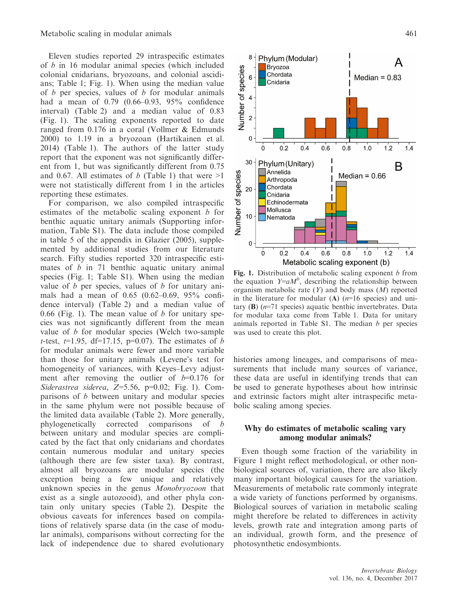Eleven studies reported 29 intraspecific estimates of  $b$  in 16 modular animal species (which included colonial cnidarians, bryozoans, and colonial ascidians; Table 1; Fig. 1). When using the median value of  $b$  per species, values of  $b$  for modular animals had a mean of 0.79 (0.66–0.93, 95% confidence interval) (Table 2) and a median value of 0.83 (Fig. 1). The scaling exponents reported to date ranged from 0.176 in a coral (Vollmer & Edmunds 2000) to 1.19 in a bryozoan (Hartikainen et al. 2014) (Table 1). The authors of the latter study report that the exponent was not significantly different from 1, but was significantly different from 0.75 and 0.67. All estimates of b (Table 1) that were  $>1$ were not statistically different from 1 in the articles reporting these estimates.

For comparison, we also compiled intraspecific estimates of the metabolic scaling exponent b for benthic aquatic unitary animals (Supporting information, Table S1). The data include those compiled in table 5 of the appendix in Glazier (2005), supplemented by additional studies from our literature search. Fifty studies reported 320 intraspecific estimates of b in 71 benthic aquatic unitary animal species (Fig. 1; Table S1). When using the median value of  $b$  per species, values of  $b$  for unitary animals had a mean of 0.65 (0.62–0.69, 95% confidence interval) (Table 2) and a median value of 0.66 (Fig. 1). The mean value of  $b$  for unitary species was not significantly different from the mean value of b for modular species (Welch two-sample *t*-test,  $t=1.95$ , df=17.15, p=0.07). The estimates of *b* for modular animals were fewer and more variable than those for unitary animals (Levene's test for homogeneity of variances, with Keyes–Levy adjustment after removing the outlier of  $b=0.176$  for Siderastrea siderea,  $Z=5.56$ ,  $p=0.02$ ; Fig. 1). Comparisons of b between unitary and modular species in the same phylum were not possible because of the limited data available (Table 2). More generally, phylogenetically corrected comparisons of b between unitary and modular species are complicated by the fact that only cnidarians and chordates contain numerous modular and unitary species (although there are few sister taxa). By contrast, almost all bryozoans are modular species (the exception being a few unique and relatively unknown species in the genus Monobryozoon that exist as a single autozooid), and other phyla contain only unitary species (Table 2). Despite the obvious caveats for inferences based on compilations of relatively sparse data (in the case of modular animals), comparisons without correcting for the lack of independence due to shared evolutionary



Fig. 1. Distribution of metabolic scaling exponent  $b$  from the equation  $Y=aM^b$ , describing the relationship between organism metabolic rate  $(Y)$  and body mass  $(M)$  reported in the literature for modular  $(A)$  ( $n=16$  species) and unitary  $(B)$  ( $n=71$  species) aquatic benthic invertebrates. Data for modular taxa come from Table 1. Data for unitary animals reported in Table S1. The median  $b$  per species was used to create this plot.

histories among lineages, and comparisons of measurements that include many sources of variance, these data are useful in identifying trends that can be used to generate hypotheses about how intrinsic and extrinsic factors might alter intraspecific metabolic scaling among species.

## Why do estimates of metabolic scaling vary among modular animals?

Even though some fraction of the variability in Figure 1 might reflect methodological, or other nonbiological sources of, variation, there are also likely many important biological causes for the variation. Measurements of metabolic rate commonly integrate a wide variety of functions performed by organisms. Biological sources of variation in metabolic scaling might therefore be related to differences in activity levels, growth rate and integration among parts of an individual, growth form, and the presence of photosynthetic endosymbionts.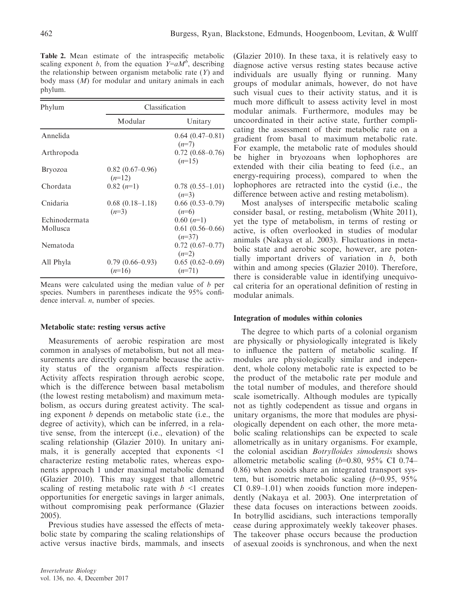Table 2. Mean estimate of the intraspecific metabolic scaling exponent b, from the equation  $\hat{Y} = aM^b$ , describing the relationship between organism metabolic rate  $(Y)$  and body mass (M) for modular and unitary animals in each phylum.

| Phylum        | Classification                     |                                 |  |  |
|---------------|------------------------------------|---------------------------------|--|--|
|               | Modular                            | Unitary                         |  |  |
| Annelida      |                                    | $0.64(0.47-0.81)$<br>$(n=7)$    |  |  |
| Arthropoda    |                                    | $0.72(0.68 - 0.76)$<br>$(n=15)$ |  |  |
| Bryozoa       | $0.82(0.67-0.96)$<br>$(n=12)$      |                                 |  |  |
| Chordata      | $0.82(n=1)$                        | $0.78(0.55-1.01)$<br>$(n=3)$    |  |  |
| Cnidaria      | $0.68(0.18-1.18)$<br>$(n=3)$       | $0.66(0.53-0.79)$<br>$(n=6)$    |  |  |
| Echinodermata |                                    | $0.60(n=1)$                     |  |  |
| Mollusca      |                                    | $0.61(0.56-0.66)$<br>$(n=37)$   |  |  |
| Nematoda      |                                    | $0.72(0.67 - 0.77)$<br>$(n=2)$  |  |  |
| All Phyla     | $0.79$ $(0.66 - 0.93)$<br>$(n=16)$ | $0.65(0.62-0.69)$<br>$(n=71)$   |  |  |

Means were calculated using the median value of  $b$  per species. Numbers in parentheses indicate the 95% confidence interval. *n*, number of species.

#### Metabolic state: resting versus active

Measurements of aerobic respiration are most common in analyses of metabolism, but not all measurements are directly comparable because the activity status of the organism affects respiration. Activity affects respiration through aerobic scope, which is the difference between basal metabolism (the lowest resting metabolism) and maximum metabolism, as occurs during greatest activity. The scaling exponent b depends on metabolic state (i.e., the degree of activity), which can be inferred, in a relative sense, from the intercept (i.e., elevation) of the scaling relationship (Glazier 2010). In unitary animals, it is generally accepted that exponents <1 characterize resting metabolic rates, whereas exponents approach 1 under maximal metabolic demand (Glazier 2010). This may suggest that allometric scaling of resting metabolic rate with  $b \leq 1$  creates opportunities for energetic savings in larger animals, without compromising peak performance (Glazier 2005).

Previous studies have assessed the effects of metabolic state by comparing the scaling relationships of active versus inactive birds, mammals, and insects

(Glazier 2010). In these taxa, it is relatively easy to diagnose active versus resting states because active individuals are usually flying or running. Many groups of modular animals, however, do not have such visual cues to their activity status, and it is much more difficult to assess activity level in most modular animals. Furthermore, modules may be uncoordinated in their active state, further complicating the assessment of their metabolic rate on a gradient from basal to maximum metabolic rate. For example, the metabolic rate of modules should be higher in bryozoans when lophophores are extended with their cilia beating to feed (i.e., an energy-requiring process), compared to when the lophophores are retracted into the cystid (i.e., the difference between active and resting metabolism).

Most analyses of interspecific metabolic scaling consider basal, or resting, metabolism (White 2011), yet the type of metabolism, in terms of resting or active, is often overlooked in studies of modular animals (Nakaya et al. 2003). Fluctuations in metabolic state and aerobic scope, however, are potentially important drivers of variation in b, both within and among species (Glazier 2010). Therefore, there is considerable value in identifying unequivocal criteria for an operational definition of resting in modular animals.

## Integration of modules within colonies

The degree to which parts of a colonial organism are physically or physiologically integrated is likely to influence the pattern of metabolic scaling. If modules are physiologically similar and independent, whole colony metabolic rate is expected to be the product of the metabolic rate per module and the total number of modules, and therefore should scale isometrically. Although modules are typically not as tightly codependent as tissue and organs in unitary organisms, the more that modules are physiologically dependent on each other, the more metabolic scaling relationships can be expected to scale allometrically as in unitary organisms. For example, the colonial ascidian Botrylloides simodensis shows allometric metabolic scaling  $(b=0.80, 95\% \text{ CI } 0.74-$ 0.86) when zooids share an integrated transport system, but isometric metabolic scaling  $(b=0.95, 95\%$ CI 0.89–1.01) when zooids function more independently (Nakaya et al. 2003). One interpretation of these data focuses on interactions between zooids. In botryllid ascidians, such interactions temporally cease during approximately weekly takeover phases. The takeover phase occurs because the production of asexual zooids is synchronous, and when the next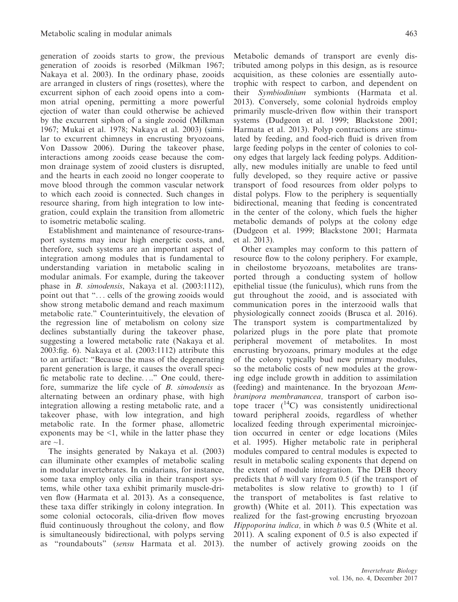generation of zooids starts to grow, the previous generation of zooids is resorbed (Milkman 1967; Nakaya et al. 2003). In the ordinary phase, zooids are arranged in clusters of rings (rosettes), where the excurrent siphon of each zooid opens into a common atrial opening, permitting a more powerful ejection of water than could otherwise be achieved by the excurrent siphon of a single zooid (Milkman 1967; Mukai et al. 1978; Nakaya et al. 2003) (similar to excurrent chimneys in encrusting bryozoans, Von Dassow 2006). During the takeover phase, interactions among zooids cease because the common drainage system of zooid clusters is disrupted, and the hearts in each zooid no longer cooperate to move blood through the common vascular network to which each zooid is connected. Such changes in resource sharing, from high integration to low integration, could explain the transition from allometric to isometric metabolic scaling.

Establishment and maintenance of resource-transport systems may incur high energetic costs, and, therefore, such systems are an important aspect of integration among modules that is fundamental to understanding variation in metabolic scaling in modular animals. For example, during the takeover phase in B. simodensis, Nakaya et al. (2003:1112), point out that "... cells of the growing zooids would show strong metabolic demand and reach maximum metabolic rate." Counterintuitively, the elevation of the regression line of metabolism on colony size declines substantially during the takeover phase, suggesting a lowered metabolic rate (Nakaya et al. 2003:fig. 6). Nakaya et al. (2003:1112) attribute this to an artifact: "Because the mass of the degenerating parent generation is large, it causes the overall specific metabolic rate to decline...." One could, therefore, summarize the life cycle of B. simodensis as alternating between an ordinary phase, with high integration allowing a resting metabolic rate, and a takeover phase, with low integration, and high metabolic rate. In the former phase, allometric exponents may be  $\leq 1$ , while in the latter phase they are  $\sim$ 1.

The insights generated by Nakaya et al. (2003) can illuminate other examples of metabolic scaling in modular invertebrates. In cnidarians, for instance, some taxa employ only cilia in their transport systems, while other taxa exhibit primarily muscle-driven flow (Harmata et al. 2013). As a consequence, these taxa differ strikingly in colony integration. In some colonial octocorals, cilia-driven flow moves fluid continuously throughout the colony, and flow is simultaneously bidirectional, with polyps serving as "roundabouts" (sensu Harmata et al. 2013).

Metabolic demands of transport are evenly distributed among polyps in this design, as is resource acquisition, as these colonies are essentially autotrophic with respect to carbon, and dependent on their Symbiodinium symbionts (Harmata et al. 2013). Conversely, some colonial hydroids employ primarily muscle-driven flow within their transport systems (Dudgeon et al. 1999; Blackstone 2001; Harmata et al. 2013). Polyp contractions are stimulated by feeding, and food-rich fluid is driven from large feeding polyps in the center of colonies to colony edges that largely lack feeding polyps. Additionally, new modules initially are unable to feed until fully developed, so they require active or passive transport of food resources from older polyps to distal polyps. Flow to the periphery is sequentially bidirectional, meaning that feeding is concentrated in the center of the colony, which fuels the higher metabolic demands of polyps at the colony edge (Dudgeon et al. 1999; Blackstone 2001; Harmata et al. 2013).

Other examples may conform to this pattern of resource flow to the colony periphery. For example, in cheilostome bryozoans, metabolites are transported through a conducting system of hollow epithelial tissue (the funiculus), which runs from the gut throughout the zooid, and is associated with communication pores in the interzooid walls that physiologically connect zooids (Brusca et al. 2016). The transport system is compartmentalized by polarized plugs in the pore plate that promote peripheral movement of metabolites. In most encrusting bryozoans, primary modules at the edge of the colony typically bud new primary modules, so the metabolic costs of new modules at the growing edge include growth in addition to assimilation (feeding) and maintenance. In the bryozoan Membranipora membranancea, transport of carbon isotope tracer  $(^{14}C)$  was consistently unidirectional toward peripheral zooids, regardless of whether localized feeding through experimental microinjection occurred in center or edge locations (Miles et al. 1995). Higher metabolic rate in peripheral modules compared to central modules is expected to result in metabolic scaling exponents that depend on the extent of module integration. The DEB theory predicts that b will vary from 0.5 (if the transport of metabolites is slow relative to growth) to 1 (if the transport of metabolites is fast relative to growth) (White et al. 2011). This expectation was realized for the fast-growing encrusting bryozoan Hippoporina indica, in which b was 0.5 (White et al. 2011). A scaling exponent of 0.5 is also expected if the number of actively growing zooids on the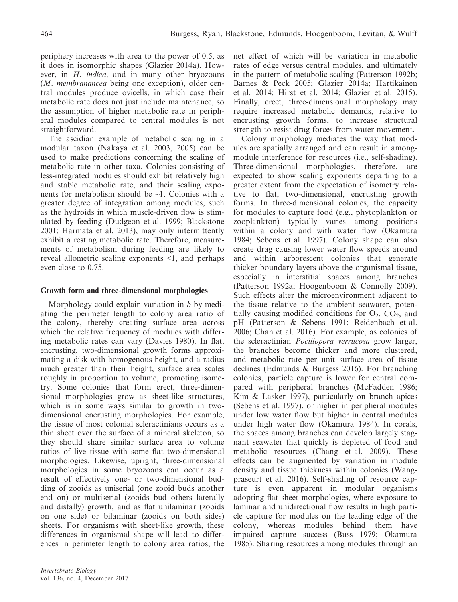periphery increases with area to the power of 0.5, as it does in isomorphic shapes (Glazier 2014a). However, in *H. indica*, and in many other bryozoans (M. membranancea being one exception), older central modules produce ovicells, in which case their metabolic rate does not just include maintenance, so the assumption of higher metabolic rate in peripheral modules compared to central modules is not straightforward.

The ascidian example of metabolic scaling in a modular taxon (Nakaya et al. 2003, 2005) can be used to make predictions concerning the scaling of metabolic rate in other taxa. Colonies consisting of less-integrated modules should exhibit relatively high and stable metabolic rate, and their scaling exponents for metabolism should be  $\sim$ 1. Colonies with a greater degree of integration among modules, such as the hydroids in which muscle-driven flow is stimulated by feeding (Dudgeon et al. 1999; Blackstone 2001; Harmata et al. 2013), may only intermittently exhibit a resting metabolic rate. Therefore, measurements of metabolism during feeding are likely to reveal allometric scaling exponents <1, and perhaps even close to 0.75.

## Growth form and three-dimensional morphologies

Morphology could explain variation in  $b$  by mediating the perimeter length to colony area ratio of the colony, thereby creating surface area across which the relative frequency of modules with differing metabolic rates can vary (Davies 1980). In flat, encrusting, two-dimensional growth forms approximating a disk with homogenous height, and a radius much greater than their height, surface area scales roughly in proportion to volume, promoting isometry. Some colonies that form erect, three-dimensional morphologies grow as sheet-like structures, which is in some ways similar to growth in twodimensional encrusting morphologies. For example, the tissue of most colonial scleractinians occurs as a thin sheet over the surface of a mineral skeleton, so they should share similar surface area to volume ratios of live tissue with some flat two-dimensional morphologies. Likewise, upright, three-dimensional morphologies in some bryozoans can occur as a result of effectively one- or two-dimensional budding of zooids as uniserial (one zooid buds another end on) or multiserial (zooids bud others laterally and distally) growth, and as flat unilaminar (zooids on one side) or bilaminar (zooids on both sides) sheets. For organisms with sheet-like growth, these differences in organismal shape will lead to differences in perimeter length to colony area ratios, the

net effect of which will be variation in metabolic rates of edge versus central modules, and ultimately in the pattern of metabolic scaling (Patterson 1992b; Barnes & Peck 2005; Glazier 2014a; Hartikainen et al. 2014; Hirst et al. 2014; Glazier et al. 2015). Finally, erect, three-dimensional morphology may require increased metabolic demands, relative to encrusting growth forms, to increase structural strength to resist drag forces from water movement.

Colony morphology mediates the way that modules are spatially arranged and can result in amongmodule interference for resources (i.e., self-shading). Three-dimensional morphologies, therefore, are expected to show scaling exponents departing to a greater extent from the expectation of isometry relative to flat, two-dimensional, encrusting growth forms. In three-dimensional colonies, the capacity for modules to capture food (e.g., phytoplankton or zooplankton) typically varies among positions within a colony and with water flow (Okamura 1984; Sebens et al. 1997). Colony shape can also create drag causing lower water flow speeds around and within arborescent colonies that generate thicker boundary layers above the organismal tissue, especially in interstitial spaces among branches (Patterson 1992a; Hoogenboom & Connolly 2009). Such effects alter the microenvironment adjacent to the tissue relative to the ambient seawater, potentially causing modified conditions for  $O_2$ ,  $CO_2$ , and pH (Patterson & Sebens 1991; Reidenbach et al. 2006; Chan et al. 2016). For example, as colonies of the scleractinian Pocillopora verrucosa grow larger, the branches become thicker and more clustered, and metabolic rate per unit surface area of tissue declines (Edmunds & Burgess 2016). For branching colonies, particle capture is lower for central compared with peripheral branches (McFadden 1986; Kim & Lasker 1997), particularly on branch apices (Sebens et al. 1997), or higher in peripheral modules under low water flow but higher in central modules under high water flow (Okamura 1984). In corals, the spaces among branches can develop largely stagnant seawater that quickly is depleted of food and metabolic resources (Chang et al. 2009). These effects can be augmented by variation in module density and tissue thickness within colonies (Wangpraseurt et al. 2016). Self-shading of resource capture is even apparent in modular organisms adopting flat sheet morphologies, where exposure to laminar and unidirectional flow results in high particle capture for modules on the leading edge of the colony, whereas modules behind them have impaired capture success (Buss 1979; Okamura 1985). Sharing resources among modules through an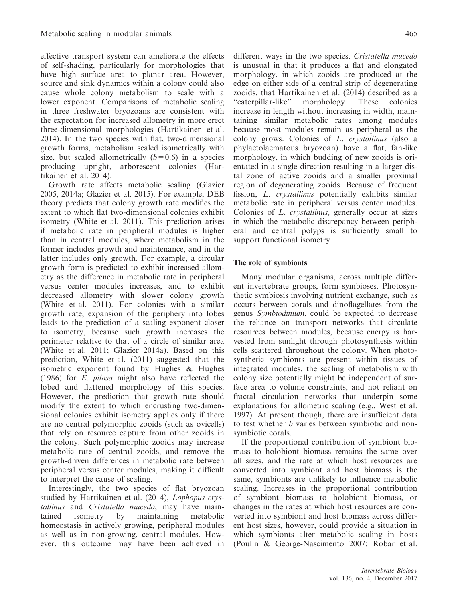effective transport system can ameliorate the effects of self-shading, particularly for morphologies that have high surface area to planar area. However, source and sink dynamics within a colony could also cause whole colony metabolism to scale with a lower exponent. Comparisons of metabolic scaling in three freshwater bryozoans are consistent with the expectation for increased allometry in more erect three-dimensional morphologies (Hartikainen et al. 2014). In the two species with flat, two-dimensional growth forms, metabolism scaled isometrically with size, but scaled allometrically  $(b=0.6)$  in a species producing upright, arborescent colonies (Hartikainen et al. 2014).

Growth rate affects metabolic scaling (Glazier 2005, 2014a; Glazier et al. 2015). For example, DEB theory predicts that colony growth rate modifies the extent to which flat two-dimensional colonies exhibit isometry (White et al. 2011). This prediction arises if metabolic rate in peripheral modules is higher than in central modules, where metabolism in the former includes growth and maintenance, and in the latter includes only growth. For example, a circular growth form is predicted to exhibit increased allometry as the difference in metabolic rate in peripheral versus center modules increases, and to exhibit decreased allometry with slower colony growth (White et al. 2011). For colonies with a similar growth rate, expansion of the periphery into lobes leads to the prediction of a scaling exponent closer to isometry, because such growth increases the perimeter relative to that of a circle of similar area (White et al. 2011; Glazier 2014a). Based on this prediction, White et al. (2011) suggested that the isometric exponent found by Hughes & Hughes (1986) for E. pilosa might also have reflected the lobed and flattened morphology of this species. However, the prediction that growth rate should modify the extent to which encrusting two-dimensional colonies exhibit isometry applies only if there are no central polymorphic zooids (such as ovicells) that rely on resource capture from other zooids in the colony. Such polymorphic zooids may increase metabolic rate of central zooids, and remove the growth-driven differences in metabolic rate between peripheral versus center modules, making it difficult to interpret the cause of scaling.

Interestingly, the two species of flat bryozoan studied by Hartikainen et al. (2014), Lophopus crystallinus and Cristatella mucedo, may have maintained isometry by maintaining metabolic homeostasis in actively growing, peripheral modules as well as in non-growing, central modules. However, this outcome may have been achieved in different ways in the two species. Cristatella mucedo is unusual in that it produces a flat and elongated morphology, in which zooids are produced at the edge on either side of a central strip of degenerating zooids, that Hartikainen et al. (2014) described as a "caterpillar-like" morphology. These colonies increase in length without increasing in width, maintaining similar metabolic rates among modules because most modules remain as peripheral as the colony grows. Colonies of L. crystallinus (also a phylactolaematous bryozoan) have a flat, fan-like morphology, in which budding of new zooids is orientated in a single direction resulting in a larger distal zone of active zooids and a smaller proximal region of degenerating zooids. Because of frequent fission, L. crystallinus potentially exhibits similar metabolic rate in peripheral versus center modules. Colonies of L. crystallinus, generally occur at sizes in which the metabolic discrepancy between peripheral and central polyps is sufficiently small to support functional isometry.

### The role of symbionts

Many modular organisms, across multiple different invertebrate groups, form symbioses. Photosynthetic symbiosis involving nutrient exchange, such as occurs between corals and dinoflagellates from the genus Symbiodinium, could be expected to decrease the reliance on transport networks that circulate resources between modules, because energy is harvested from sunlight through photosynthesis within cells scattered throughout the colony. When photosynthetic symbionts are present within tissues of integrated modules, the scaling of metabolism with colony size potentially might be independent of surface area to volume constraints, and not reliant on fractal circulation networks that underpin some explanations for allometric scaling (e.g., West et al. 1997). At present though, there are insufficient data to test whether  $b$  varies between symbiotic and nonsymbiotic corals.

If the proportional contribution of symbiont biomass to holobiont biomass remains the same over all sizes, and the rate at which host resources are converted into symbiont and host biomass is the same, symbionts are unlikely to influence metabolic scaling. Increases in the proportional contribution of symbiont biomass to holobiont biomass, or changes in the rates at which host resources are converted into symbiont and host biomass across different host sizes, however, could provide a situation in which symbionts alter metabolic scaling in hosts (Poulin & George-Nascimento 2007; Robar et al.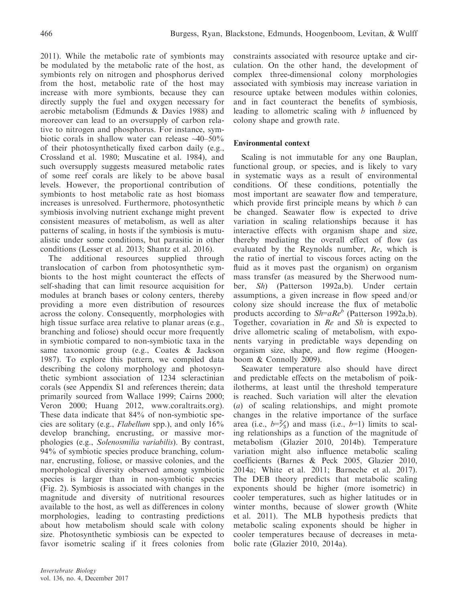2011). While the metabolic rate of symbionts may be modulated by the metabolic rate of the host, as symbionts rely on nitrogen and phosphorus derived from the host, metabolic rate of the host may increase with more symbionts, because they can directly supply the fuel and oxygen necessary for aerobic metabolism (Edmunds & Davies 1988) and moreover can lead to an oversupply of carbon relative to nitrogen and phosphorus. For instance, symbiotic corals in shallow water can release ~40–50% of their photosynthetically fixed carbon daily (e.g., Crossland et al. 1980; Muscatine et al. 1984), and such oversupply suggests measured metabolic rates of some reef corals are likely to be above basal levels. However, the proportional contribution of symbionts to host metabolic rate as host biomass increases is unresolved. Furthermore, photosynthetic symbiosis involving nutrient exchange might prevent consistent measures of metabolism, as well as alter patterns of scaling, in hosts if the symbiosis is mutualistic under some conditions, but parasitic in other conditions (Lesser et al. 2013; Shantz et al. 2016).

The additional resources supplied through translocation of carbon from photosynthetic symbionts to the host might counteract the effects of self-shading that can limit resource acquisition for modules at branch bases or colony centers, thereby providing a more even distribution of resources across the colony. Consequently, morphologies with high tissue surface area relative to planar areas (e.g., branching and foliose) should occur more frequently in symbiotic compared to non-symbiotic taxa in the same taxonomic group (e.g., Coates & Jackson 1987). To explore this pattern, we compiled data describing the colony morphology and photosynthetic symbiont association of 1234 scleractinian corals (see Appendix S1 and references therein; data primarily sourced from Wallace 1999; Cairns 2000; Veron 2000; Huang 2012, [www.coraltraits.org](http://www.coraltraits.org)). These data indicate that 84% of non-symbiotic species are solitary (e.g., Flabellum spp.), and only 16% develop branching, encrusting, or massive morphologies (e.g., Solenosmilia variabilis). By contrast, 94% of symbiotic species produce branching, columnar, encrusting, foliose, or massive colonies, and the morphological diversity observed among symbiotic species is larger than in non-symbiotic species (Fig. 2). Symbiosis is associated with changes in the magnitude and diversity of nutritional resources available to the host, as well as differences in colony morphologies, leading to contrasting predictions about how metabolism should scale with colony size. Photosynthetic symbiosis can be expected to favor isometric scaling if it frees colonies from

constraints associated with resource uptake and circulation. On the other hand, the development of complex three-dimensional colony morphologies associated with symbiosis may increase variation in resource uptake between modules within colonies, and in fact counteract the benefits of symbiosis, leading to allometric scaling with  $b$  influenced by colony shape and growth rate.

# Environmental context

Scaling is not immutable for any one Bauplan, functional group, or species, and is likely to vary in systematic ways as a result of environmental conditions. Of these conditions, potentially the most important are seawater flow and temperature, which provide first principle means by which  $b$  can be changed. Seawater flow is expected to drive variation in scaling relationships because it has interactive effects with organism shape and size, thereby mediating the overall effect of flow (as evaluated by the Reynolds number, Re, which is the ratio of inertial to viscous forces acting on the fluid as it moves past the organism) on organism mass transfer (as measured by the Sherwood number, Sh) (Patterson 1992a,b). Under certain assumptions, a given increase in flow speed and/or colony size should increase the flux of metabolic products according to  $Sh=aRe^b$  (Patterson 1992a,b). Together, covariation in Re and Sh is expected to drive allometric scaling of metabolism, with exponents varying in predictable ways depending on organism size, shape, and flow regime (Hoogenboom & Connolly 2009).

Seawater temperature also should have direct and predictable effects on the metabolism of poikilotherms, at least until the threshold temperature is reached. Such variation will alter the elevation (a) of scaling relationships, and might promote changes in the relative importance of the surface area (i.e.,  $b=\frac{2}{3}$ ) and mass (i.e.,  $b=1$ ) limits to scaling relationships as a function of the magnitude of metabolism (Glazier 2010, 2014b). Temperature variation might also influence metabolic scaling coefficients (Barnes & Peck 2005, Glazier 2010, 2014a; White et al. 2011; Barneche et al. 2017). The DEB theory predicts that metabolic scaling exponents should be higher (more isometric) in cooler temperatures, such as higher latitudes or in winter months, because of slower growth (White et al. 2011). The MLB hypothesis predicts that metabolic scaling exponents should be higher in cooler temperatures because of decreases in metabolic rate (Glazier 2010, 2014a).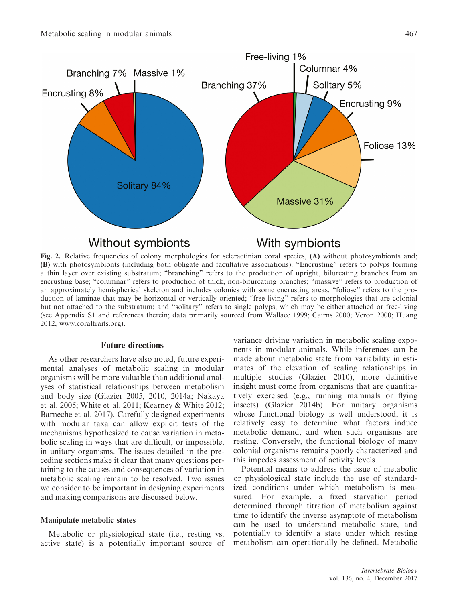

Fig. 2. Relative frequencies of colony morphologies for scleractinian coral species, (A) without photosymbionts and; (B) with photosymbionts (including both obligate and facultative associations). "Encrusting" refers to polyps forming a thin layer over existing substratum; "branching" refers to the production of upright, bifurcating branches from an encrusting base; "columnar" refers to production of thick, non-bifurcating branches; "massive" refers to production of an approximately hemispherical skeleton and includes colonies with some encrusting areas, "foliose" refers to the production of laminae that may be horizontal or vertically oriented; "free-living" refers to morphologies that are colonial but not attached to the substratum; and "solitary" refers to single polyps, which may be either attached or free-living (see Appendix S1 and references therein; data primarily sourced from Wallace 1999; Cairns 2000; Veron 2000; Huang 2012, [www.coraltraits.org](http://www.coraltraits.org)).

## Future directions

As other researchers have also noted, future experimental analyses of metabolic scaling in modular organisms will be more valuable than additional analyses of statistical relationships between metabolism and body size (Glazier 2005, 2010, 2014a; Nakaya et al. 2005; White et al. 2011; Kearney & White 2012; Barneche et al. 2017). Carefully designed experiments with modular taxa can allow explicit tests of the mechanisms hypothesized to cause variation in metabolic scaling in ways that are difficult, or impossible, in unitary organisms. The issues detailed in the preceding sections make it clear that many questions pertaining to the causes and consequences of variation in metabolic scaling remain to be resolved. Two issues we consider to be important in designing experiments and making comparisons are discussed below.

#### Manipulate metabolic states

Metabolic or physiological state (i.e., resting vs. active state) is a potentially important source of

variance driving variation in metabolic scaling exponents in modular animals. While inferences can be made about metabolic state from variability in estimates of the elevation of scaling relationships in multiple studies (Glazier 2010), more definitive insight must come from organisms that are quantitatively exercised (e.g., running mammals or flying insects) (Glazier 2014b). For unitary organisms whose functional biology is well understood, it is relatively easy to determine what factors induce metabolic demand, and when such organisms are resting. Conversely, the functional biology of many colonial organisms remains poorly characterized and this impedes assessment of activity levels.

Potential means to address the issue of metabolic or physiological state include the use of standardized conditions under which metabolism is measured. For example, a fixed starvation period determined through titration of metabolism against time to identify the inverse asymptote of metabolism can be used to understand metabolic state, and potentially to identify a state under which resting metabolism can operationally be defined. Metabolic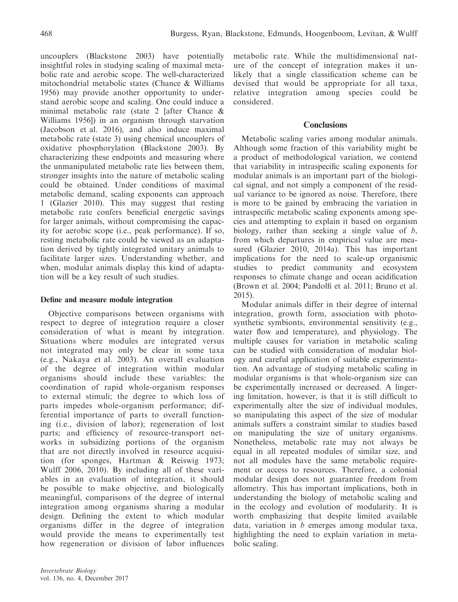uncouplers (Blackstone 2003) have potentially insightful roles in studying scaling of maximal metabolic rate and aerobic scope. The well-characterized mitochondrial metabolic states (Chance & Williams 1956) may provide another opportunity to understand aerobic scope and scaling. One could induce a minimal metabolic rate (state 2 [after Chance & Williams 1956]) in an organism through starvation (Jacobson et al. 2016), and also induce maximal metabolic rate (state 3) using chemical uncouplers of oxidative phosphorylation (Blackstone 2003). By characterizing these endpoints and measuring where the unmanipulated metabolic rate lies between them, stronger insights into the nature of metabolic scaling could be obtained. Under conditions of maximal metabolic demand, scaling exponents can approach 1 (Glazier 2010). This may suggest that resting metabolic rate confers beneficial energetic savings for larger animals, without compromising the capacity for aerobic scope (i.e., peak performance). If so, resting metabolic rate could be viewed as an adaptation derived by tightly integrated unitary animals to facilitate larger sizes. Understanding whether, and when, modular animals display this kind of adaptation will be a key result of such studies.

# Define and measure module integration

Objective comparisons between organisms with respect to degree of integration require a closer consideration of what is meant by integration. Situations where modules are integrated versus not integrated may only be clear in some taxa (e.g., Nakaya et al. 2003). An overall evaluation of the degree of integration within modular organisms should include these variables: the coordination of rapid whole-organism responses to external stimuli; the degree to which loss of parts impedes whole-organism performance; differential importance of parts to overall functioning (i.e., division of labor); regeneration of lost parts; and efficiency of resource-transport networks in subsidizing portions of the organism that are not directly involved in resource acquisition (for sponges, Hartman & Reiswig 1973; Wulff 2006, 2010). By including all of these variables in an evaluation of integration, it should be possible to make objective, and biologically meaningful, comparisons of the degree of internal integration among organisms sharing a modular design. Defining the extent to which modular organisms differ in the degree of integration would provide the means to experimentally test how regeneration or division of labor influences

metabolic rate. While the multidimensional nature of the concept of integration makes it unlikely that a single classification scheme can be devised that would be appropriate for all taxa, relative integration among species could be considered.

# **Conclusions**

Metabolic scaling varies among modular animals. Although some fraction of this variability might be a product of methodological variation, we contend that variability in intraspecific scaling exponents for modular animals is an important part of the biological signal, and not simply a component of the residual variance to be ignored as noise. Therefore, there is more to be gained by embracing the variation in intraspecific metabolic scaling exponents among species and attempting to explain it based on organism biology, rather than seeking a single value of  $b$ , from which departures in empirical value are measured (Glazier 2010, 2014a). This has important implications for the need to scale-up organismic studies to predict community and ecosystem responses to climate change and ocean acidification (Brown et al. 2004; Pandolfi et al. 2011; Bruno et al. 2015).

Modular animals differ in their degree of internal integration, growth form, association with photosynthetic symbionts, environmental sensitivity (e.g., water flow and temperature), and physiology. The multiple causes for variation in metabolic scaling can be studied with consideration of modular biology and careful application of suitable experimentation. An advantage of studying metabolic scaling in modular organisms is that whole-organism size can be experimentally increased or decreased. A lingering limitation, however, is that it is still difficult to experimentally alter the size of individual modules, so manipulating this aspect of the size of modular animals suffers a constraint similar to studies based on manipulating the size of unitary organisms. Nonetheless, metabolic rate may not always be equal in all repeated modules of similar size, and not all modules have the same metabolic requirement or access to resources. Therefore, a colonial modular design does not guarantee freedom from allometry. This has important implications, both in understanding the biology of metabolic scaling and in the ecology and evolution of modularity. It is worth emphasizing that despite limited available data, variation in  $b$  emerges among modular taxa, highlighting the need to explain variation in metabolic scaling.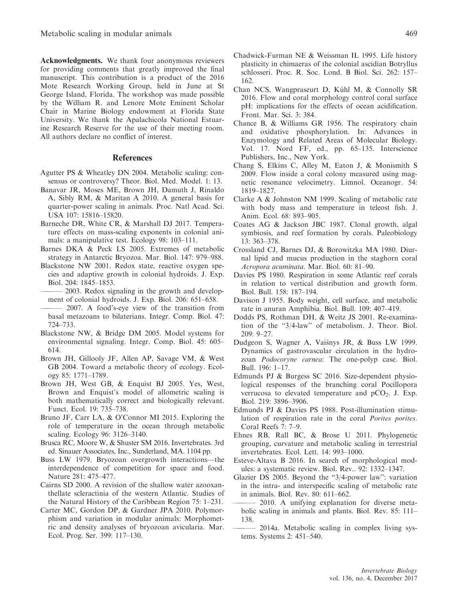Acknowledgments. We thank four anonymous reviewers for providing comments that greatly improved the final manuscript. This contribution is a product of the 2016 Mote Research Working Group, held in June at St George Island, Florida. The workshop was made possible by the William R. and Lenore Mote Eminent Scholar Chair in Marine Biology endowment at Florida State University. We thank the Apalachicola National Estuarine Research Reserve for the use of their meeting room. All authors declare no conflict of interest.

#### References

- Agutter PS & Wheatley DN 2004. Metabolic scaling: consensus or controversy? Theor. Biol. Med. Model. 1: 13.
- Banavar JR, Moses ME, Brown JH, Damuth J, Rinaldo A, Sibly RM, & Maritan A 2010. A general basis for quarter-power scaling in animals. Proc. Natl Acad. Sci. USA 107: 15816–15820.
- Barneche DR, White CR, & Marshall DJ 2017. Temperature effects on mass-scaling exponents in colonial animals: a manipulative test. Ecology 98: 103–111.
- Barnes DKA & Peck LS 2005. Extremes of metabolic strategy in Antarctic Bryozoa. Mar. Biol. 147: 979–988.
- Blackstone NW 2001. Redox state, reactive oxygen species and adaptive growth in colonial hydroids. J. Exp. Biol. 204: 1845–1853.
- ———— 2003. Redox signaling in the growth and development of colonial hydroids. J. Exp. Biol. 206: 651–658.
- 2007. A food's-eye view of the transition from basal metazoans to bilaterians. Integr. Comp. Biol. 47: 724–733.
- Blackstone NW, & Bridge DM 2005. Model systems for environmental signaling. Integr. Comp. Biol. 45: 605– 614.
- Brown JH, Gillooly JF, Allen AP, Savage VM, & West GB 2004. Toward a metabolic theory of ecology. Ecology 85: 1771–1789.
- Brown JH, West GB, & Enquist BJ 2005. Yes, West, Brown and Enquist's model of allometric scaling is both mathematically correct and biologically relevant. Funct. Ecol. 19: 735–738.
- Bruno JF, Carr LA, & O'Connor MI 2015. Exploring the role of temperature in the ocean through metabolic scaling. Ecology 96: 3126–3140.
- Brusca RC, Moore W, & Shuster SM 2016. Invertebrates. 3rd ed. Sinauer Associates, Inc., Sunderland, MA. 1104 pp.
- Buss LW 1979. Bryozoan overgrowth interactions—the interdependence of competition for space and food. Nature 281: 475–477.
- Cairns SD 2000. A revision of the shallow water azooxanthellate scleractinia of the western Atlantic. Studies of the Natural History of the Caribbean Region 75: 1–231.
- Carter MC, Gordon DP, & Gardner JPA 2010. Polymorphism and variation in modular animals: Morphometric and density analyses of bryozoan avicularia. Mar. Ecol. Prog. Ser. 399: 117–130.
- Chadwick-Furman NE & Weissman IL 1995. Life history plasticity in chimaeras of the colonial ascidian Botryllus schlosseri. Proc. R. Soc. Lond. B Biol. Sci. 262: 157– 162.
- Chan NCS, Wangpraseurt D, Kühl M, & Connolly SR 2016. Flow and coral morphology control coral surface pH: implications for the effects of ocean acidification. Front. Mar. Sci. 3: 384.
- Chance B, & Williams GR 1956. The respiratory chain and oxidative phosphorylation. In: Advances in Enzymology and Related Areas of Molecular Biology. Vol. 17. Nord FF, ed., pp. 65–135. Interscience Publishers, Inc., New York.
- Chang S, Elkins C, Alley M, Eaton J, & Monismith S 2009. Flow inside a coral colony measured using magnetic resonance velocimetry. Limnol. Oceanogr. 54: 1819–1827.
- Clarke A & Johnston NM 1999. Scaling of metabolic rate with body mass and temperature in teleost fish. J. Anim. Ecol. 68: 893–905.
- Coates AG & Jackson JBC 1987. Clonal growth, algal symbiosis, and reef formation by corals. Paleobiology 13: 363–378.
- Crossland CJ, Barnes DJ, & Borowitzka MA 1980. Diurnal lipid and mucus production in the staghorn coral Acropora acuminata. Mar. Biol. 60: 81–90.
- Davies PS 1980. Respiration in some Atlantic reef corals in relation to vertical distribution and growth form. Biol. Bull. 158: 187–194.
- Davison J 1955. Body weight, cell surface, and metabolic rate in anuran Amphibia. Biol. Bull. 109: 407–419.
- Dodds PS, Rothman DH, & Weitz JS 2001. Re-examination of the "3/4-law" of metabolism. J. Theor. Biol. 209: 9–27.
- Dudgeon S, Wagner A, Vaišnys JR, & Buss LW 1999. Dynamics of gastrovascular circulation in the hydrozoan Podocoryne carnea: The one-polyp case. Biol. Bull. 196: 1–17.
- Edmunds PJ & Burgess SC 2016. Size-dependent physiological responses of the branching coral Pocillopora verrucosa to elevated temperature and  $pCO<sub>2</sub>$ . J. Exp. Biol. 219: 3896–3906.
- Edmunds PJ & Davies PS 1988. Post-illumination stimulation of respiration rate in the coral Porites porites. Coral Reefs 7: 7–9.
- Ehnes RB, Rall BC, & Brose U 2011. Phylogenetic grouping, curvature and metabolic scaling in terrestrial invertebrates. Ecol. Lett. 14: 993–1000.
- Esteve-Altava B 2016. In search of morphological modules: a systematic review. Biol. Rev.. 92: 1332–1347.
- Glazier DS 2005. Beyond the "3/4-power law": variation in the intra- and interspecific scaling of metabolic rate in animals. Biol. Rev. 80: 611–662.
- 2010. A unifying explanation for diverse metabolic scaling in animals and plants. Biol. Rev. 85: 111– 138.
- 2014a. Metabolic scaling in complex living systems. Systems 2: 451–540.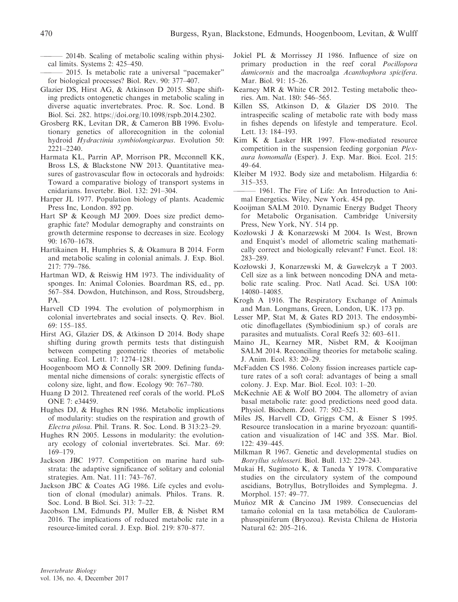$-2014b$ . Scaling of metabolic scaling within physical limits. Systems 2: 425–450.

- 2015. Is metabolic rate a universal "pacemaker" for biological processes? Biol. Rev. 90: 377–407.
- Glazier DS, Hirst AG, & Atkinson D 2015. Shape shifting predicts ontogenetic changes in metabolic scaling in diverse aquatic invertebrates. Proc. R. Soc. Lond. B Biol. Sci. 282. [https://doi.org/10.1098/rspb.2014.2302.](https://doi.org/10.1098/rspb.2014.2302)
- Grosberg RK, Levitan DR, & Cameron BB 1996. Evolutionary genetics of allorecognition in the colonial hydroid Hydractinia symbiolongicarpus. Evolution 50: 2221–2240.
- Harmata KL, Parrin AP, Morrison PR, Mcconnell KK, Bross LS, & Blackstone NW 2013. Quantitative measures of gastrovascular flow in octocorals and hydroids: Toward a comparative biology of transport systems in cnidarians. Invertebr. Biol. 132: 291–304.
- Harper JL 1977. Population biology of plants. Academic Press Inc, London. 892 pp.
- Hart SP & Keough MJ 2009. Does size predict demographic fate? Modular demography and constraints on growth determine response to decreases in size. Ecology 90: 1670–1678.
- Hartikainen H, Humphries S, & Okamura B 2014. Form and metabolic scaling in colonial animals. J. Exp. Biol. 217: 779–786.
- Hartman WD, & Reiswig HM 1973. The individuality of sponges. In: Animal Colonies. Boardman RS, ed., pp. 567–584. Dowdon, Hutchinson, and Ross, Stroudsberg, PA.
- Harvell CD 1994. The evolution of polymorphism in colonial invertebrates and social insects. Q. Rev. Biol. 69: 155–185.
- Hirst AG, Glazier DS, & Atkinson D 2014. Body shape shifting during growth permits tests that distinguish between competing geometric theories of metabolic scaling. Ecol. Lett. 17: 1274–1281.
- Hoogenboom MO & Connolly SR 2009. Defining fundamental niche dimensions of corals: synergistic effects of colony size, light, and flow. Ecology 90: 767–780.
- Huang D 2012. Threatened reef corals of the world. PLoS ONE 7: e34459.
- Hughes DJ, & Hughes RN 1986. Metabolic implications of modularity: studies on the respiration and growth of Electra pilosa. Phil. Trans. R. Soc. Lond. B 313:23–29.
- Hughes RN 2005. Lessons in modularity: the evolutionary ecology of colonial invertebrates. Sci. Mar. 69: 169–179.
- Jackson JBC 1977. Competition on marine hard substrata: the adaptive significance of solitary and colonial strategies. Am. Nat. 111: 743–767.
- Jackson JBC & Coates AG 1986. Life cycles and evolution of clonal (modular) animals. Philos. Trans. R. Soc. Lond. B Biol. Sci. 313: 7–22.
- Jacobson LM, Edmunds PJ, Muller EB, & Nisbet RM 2016. The implications of reduced metabolic rate in a resource-limited coral. J. Exp. Biol. 219: 870–877.
- Jokiel PL & Morrissey JI 1986. Influence of size on primary production in the reef coral Pocillopora damicornis and the macroalga Acanthophora spicifera. Mar. Biol. 91: 15–26.
- Kearney MR & White CR 2012. Testing metabolic theories. Am. Nat. 180: 546–565.
- Killen SS, Atkinson D, & Glazier DS 2010. The intraspecific scaling of metabolic rate with body mass in fishes depends on lifestyle and temperature. Ecol. Lett. 13: 184–193.
- Kim K & Lasker HR 1997. Flow-mediated resource competition in the suspension feeding gorgonian Plexaura homomalla (Esper). J. Exp. Mar. Bioi. Ecol. 215: 49–64.
- Kleiber M 1932. Body size and metabolism. Hilgardia 6: 315–353.
- ———— 1961. The Fire of Life: An Introduction to Animal Energetics. Wiley, New York. 454 pp.
- Kooijman SALM 2010. Dynamic Energy Budget Theory for Metabolic Organisation. Cambridge University Press, New York, NY. 514 pp.
- Kozłowski J & Konarzewski M 2004. Is West, Brown and Enquist's model of allometric scaling mathematically correct and biologically relevant? Funct. Ecol. 18: 283–289.
- Kozłowski J, Konarzewski M, & Gawelczyk a T 2003. Cell size as a link between noncoding DNA and metabolic rate scaling. Proc. Natl Acad. Sci. USA 100: 14080–14085.
- Krogh A 1916. The Respiratory Exchange of Animals and Man. Longmans, Green, London, UK. 173 pp.
- Lesser MP, Stat M, & Gates RD 2013. The endosymbiotic dinoflagellates (Symbiodinium sp.) of corals are parasites and mutualists. Coral Reefs 32: 603–611.
- Maino JL, Kearney MR, Nisbet RM, & Kooijman SALM 2014. Reconciling theories for metabolic scaling. J. Anim. Ecol. 83: 20–29.
- McFadden CS 1986. Colony fission increases particle capture rates of a soft coral: advantages of being a small colony. J. Exp. Mar. Biol. Ecol. 103: 1–20.
- McKechnie AE & Wolf BO 2004. The allometry of avian basal metabolic rate: good predictions need good data. Physiol. Biochem. Zool. 77: 502–521.
- Miles JS, Harvell CD, Griggs CM, & Eisner S 1995. Resource translocation in a marine bryozoan: quantification and visualization of 14C and 35S. Mar. Biol. 122: 439–445.
- Milkman R 1967. Genetic and developmental studies on Botryllus schlosseri. Biol. Bull. 132: 229–243.
- Mukai H, Sugimoto K, & Taneda Y 1978. Comparative studies on the circulatory system of the compound ascidians, Botryllus, Botrylloides and Symplegma. J. Morphol. 157: 49–77.
- Muñoz MR & Cancino JM 1989. Consecuencias del tamaño colonial en la tasa metabólica de Cauloramphusspiniferum (Bryozoa). Revista Chilena de Historia Natural 62: 205–216.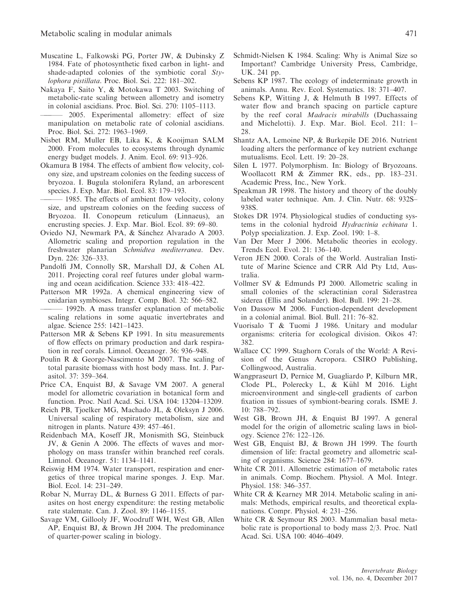- Muscatine L, Falkowski PG, Porter JW, & Dubinsky Z 1984. Fate of photosynthetic fixed carbon in light- and shade-adapted colonies of the symbiotic coral Stylophora pistillata. Proc. Biol. Sci. 222: 181–202.
- Nakaya F, Saito Y, & Motokawa T 2003. Switching of metabolic-rate scaling between allometry and isometry in colonial ascidians. Proc. Biol. Sci. 270: 1105–1113.
- 2005. Experimental allometry: effect of size manipulation on metabolic rate of colonial ascidians. Proc. Biol. Sci. 272: 1963–1969.
- Nisbet RM, Muller EB, Lika K, & Kooijman SALM 2000. From molecules to ecosystems through dynamic energy budget models. J. Anim. Ecol. 69: 913–926.
- Okamura B 1984. The effects of ambient flow velocity, colony size, and upstream colonies on the feeding success of bryozoa. I. Bugula stolonifera Ryland, an arborescent species. J. Exp. Mar. Biol. Ecol. 83: 179–193.
- 1985. The effects of ambient flow velocity, colony size, and upstream colonies on the feeding success of Bryozoa. II. Conopeum reticulum (Linnaeus), an encrusting species. J. Exp. Mar. Biol. Ecol. 89: 69–80.
- Oviedo NJ, Newmark PA, & Sanchez Alvarado A 2003. Allometric scaling and proportion regulation in the freshwater planarian Schmidtea mediterranea. Dev. Dyn. 226: 326–333.
- Pandolfi JM, Connolly SR, Marshall DJ, & Cohen AL 2011. Projecting coral reef futures under global warming and ocean acidification. Science 333: 418–422.
- Patterson MR 1992a. A chemical engineering view of cnidarian symbioses. Integr. Comp. Biol. 32: 566–582.
- 1992b. A mass transfer explanation of metabolic scaling relations in some aquatic invertebrates and algae. Science 255: 1421–1423.
- Patterson MR & Sebens KP 1991. In situ measurements of flow effects on primary production and dark respiration in reef corals. Limnol. Oceanogr. 36: 936–948.
- Poulin R & George-Nascimento M 2007. The scaling of total parasite biomass with host body mass. Int. J. Parasitol. 37: 359–364.
- Price CA, Enquist BJ, & Savage VM 2007. A general model for allometric covariation in botanical form and function. Proc. Natl Acad. Sci. USA 104: 13204–13209.
- Reich PB, Tjoelker MG, Machado JL, & Oleksyn J 2006. Universal scaling of respiratory metabolism, size and nitrogen in plants. Nature 439: 457–461.
- Reidenbach MA, Koseff JR, Monismith SG, Steinbuck JV, & Genin A 2006. The effects of waves and morphology on mass transfer within branched reef corals. Limnol. Oceanogr. 51: 1134–1141.
- Reiswig HM 1974. Water transport, respiration and energetics of three tropical marine sponges. J. Exp. Mar. Biol. Ecol. 14: 231–249.
- Robar N, Murray DL, & Burness G 2011. Effects of parasites on host energy expenditure: the resting metabolic rate stalemate. Can. J. Zool. 89: 1146–1155.
- Savage VM, Gillooly JF, Woodruff WH, West GB, Allen AP, Enquist BJ, & Brown JH 2004. The predominance of quarter-power scaling in biology.
- Schmidt-Nielsen K 1984. Scaling: Why is Animal Size so Important? Cambridge University Press, Cambridge, UK. 241 pp.
- Sebens KP 1987. The ecology of indeterminate growth in animals. Annu. Rev. Ecol. Systematics. 18: 371–407.
- Sebens KP, Witting J, & Helmuth B 1997. Effects of water flow and branch spacing on particle capture by the reef coral Madracis mirabills (Duchassaing and Michelotti). J. Exp. Mar. Biol. Ecol. 211: 1– 28.
- Shantz AA, Lemoine NP, & Burkepile DE 2016. Nutrient loading alters the performance of key nutrient exchange mutualisms. Ecol. Lett. 19: 20–28.
- Silen L 1977. Polymorphism. In: Biology of Bryozoans. Woollacott RM & Zimmer RK, eds., pp. 183–231. Academic Press, Inc., New York.
- Speakman JR 1998. The history and theory of the doubly labeled water technique. Am. J. Clin. Nutr. 68: 932S– 938S.
- Stokes DR 1974. Physiological studies of conducting systems in the colonial hydroid Hydractinia echinata 1. Polyp specialization. J. Exp. Zool. 190: 1–8.
- Van Der Meer J 2006. Metabolic theories in ecology. Trends Ecol. Evol. 21: 136–140.
- Veron JEN 2000. Corals of the World. Australian Institute of Marine Science and CRR Ald Pty Ltd, Australia.
- Vollmer SV & Edmunds PJ 2000. Allometric scaling in small colonies of the scleractinian coral Siderastrea siderea (Ellis and Solander). Biol. Bull. 199: 21–28.
- Von Dassow M 2006. Function-dependent development in a colonial animal. Biol. Bull. 211: 76–82.
- Vuorisalo T & Tuomi J 1986. Unitary and modular organisms: criteria for ecological division. Oikos 47: 382.
- Wallace CC 1999. Staghorn Corals of the World: A Revision of the Genus Acropora. CSIRO Publishing, Collingwood, Australia.
- Wangpraseurt D, Pernice M, Guagliardo P, Kilburn MR, Clode PL, Polerecky L, & Kühl M 2016. Light microenvironment and single-cell gradients of carbon fixation in tissues of symbiont-bearing corals. ISME J. 10: 788–792.
- West GB, Brown JH, & Enquist BJ 1997. A general model for the origin of allometric scaling laws in biology. Science 276: 122–126.
- West GB, Enquist BJ, & Brown JH 1999. The fourth dimension of life: fractal geometry and allometric scaling of organisms. Science 284: 1677–1679.
- White CR 2011. Allometric estimation of metabolic rates in animals. Comp. Biochem. Physiol. A Mol. Integr. Physiol. 158: 346–357.
- White CR & Kearney MR 2014. Metabolic scaling in animals: Methods, empirical results, and theoretical explanations. Compr. Physiol. 4: 231–256.
- White CR & Seymour RS 2003. Mammalian basal metabolic rate is proportional to body mass 2/3. Proc. Natl Acad. Sci. USA 100: 4046–4049.